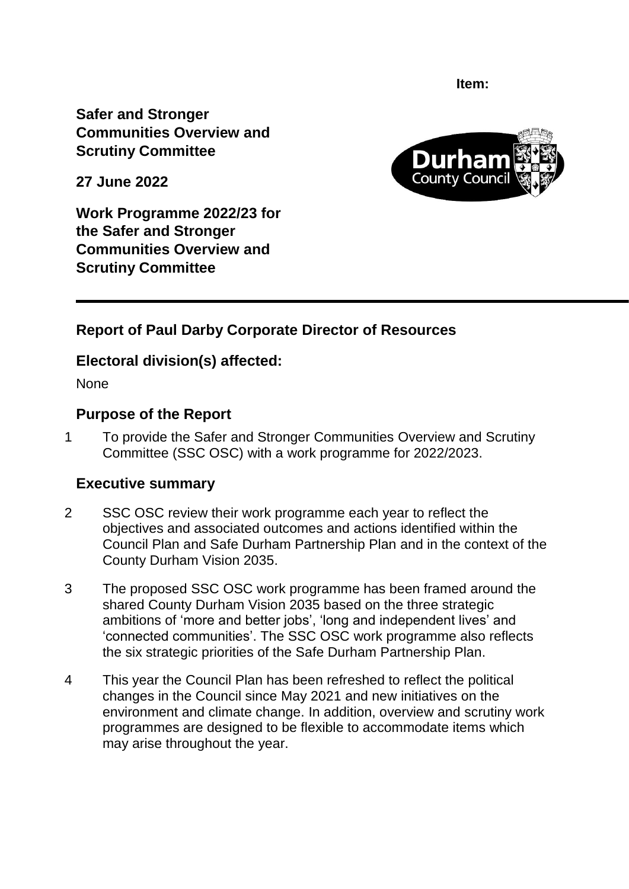**Item:** 

**Safer and Stronger Communities Overview and Scrutiny Committee** 

**27 June 2022**

Durl County (

**Work Programme 2022/23 for the Safer and Stronger Communities Overview and Scrutiny Committee**

# **Report of Paul Darby Corporate Director of Resources**

# **Electoral division(s) affected:**

None

## **Purpose of the Report**

1 To provide the Safer and Stronger Communities Overview and Scrutiny Committee (SSC OSC) with a work programme for 2022/2023.

## **Executive summary**

- 2 SSC OSC review their work programme each year to reflect the objectives and associated outcomes and actions identified within the Council Plan and Safe Durham Partnership Plan and in the context of the County Durham Vision 2035.
- 3 The proposed SSC OSC work programme has been framed around the shared County Durham Vision 2035 based on the three strategic ambitions of 'more and better jobs', 'long and independent lives' and 'connected communities'. The SSC OSC work programme also reflects the six strategic priorities of the Safe Durham Partnership Plan.
- 4 This year the Council Plan has been refreshed to reflect the political changes in the Council since May 2021 and new initiatives on the environment and climate change. In addition, overview and scrutiny work programmes are designed to be flexible to accommodate items which may arise throughout the year.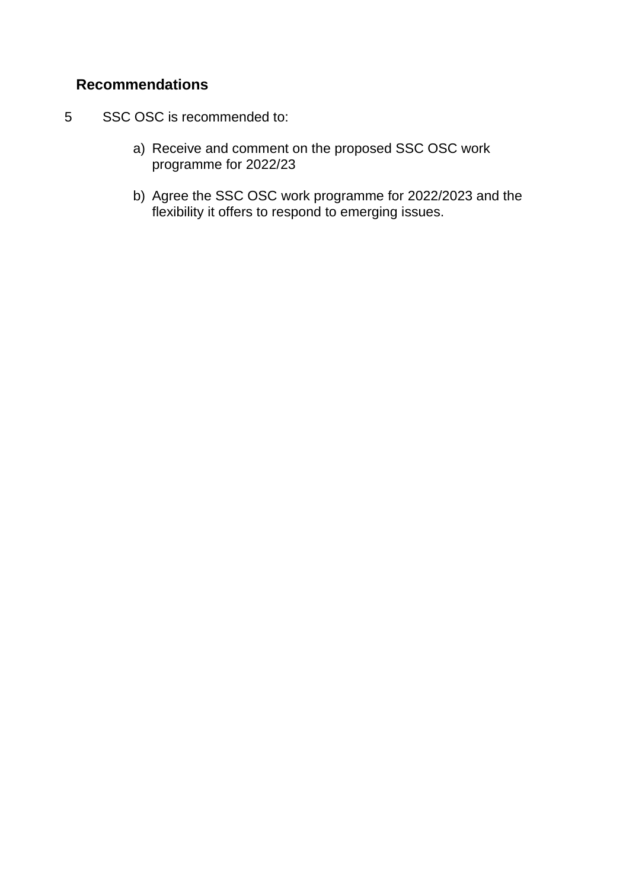# **Recommendations**

- 5 SSC OSC is recommended to:
	- a) Receive and comment on the proposed SSC OSC work programme for 2022/23
	- b) Agree the SSC OSC work programme for 2022/2023 and the flexibility it offers to respond to emerging issues.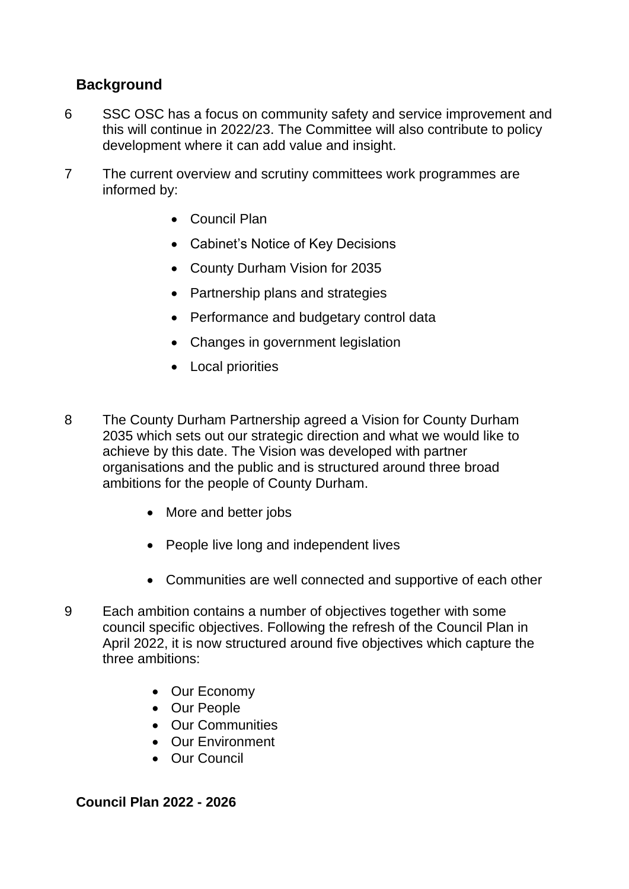# **Background**

- 6 SSC OSC has a focus on community safety and service improvement and this will continue in 2022/23. The Committee will also contribute to policy development where it can add value and insight.
- 7 The current overview and scrutiny committees work programmes are informed by:
	- Council Plan
	- Cabinet's Notice of Key Decisions
	- County Durham Vision for 2035
	- Partnership plans and strategies
	- Performance and budgetary control data
	- Changes in government legislation
	- Local priorities
- 8 The County Durham Partnership agreed a Vision for County Durham 2035 which sets out our strategic direction and what we would like to achieve by this date. The Vision was developed with partner organisations and the public and is structured around three broad ambitions for the people of County Durham.
	- More and better jobs
	- People live long and independent lives
	- Communities are well connected and supportive of each other
- 9 Each ambition contains a number of objectives together with some council specific objectives. Following the refresh of the Council Plan in April 2022, it is now structured around five objectives which capture the three ambitions:
	- Our Economy
	- Our People
	- Our Communities
	- Our Environment
	- Our Council

**Council Plan 2022 - 2026**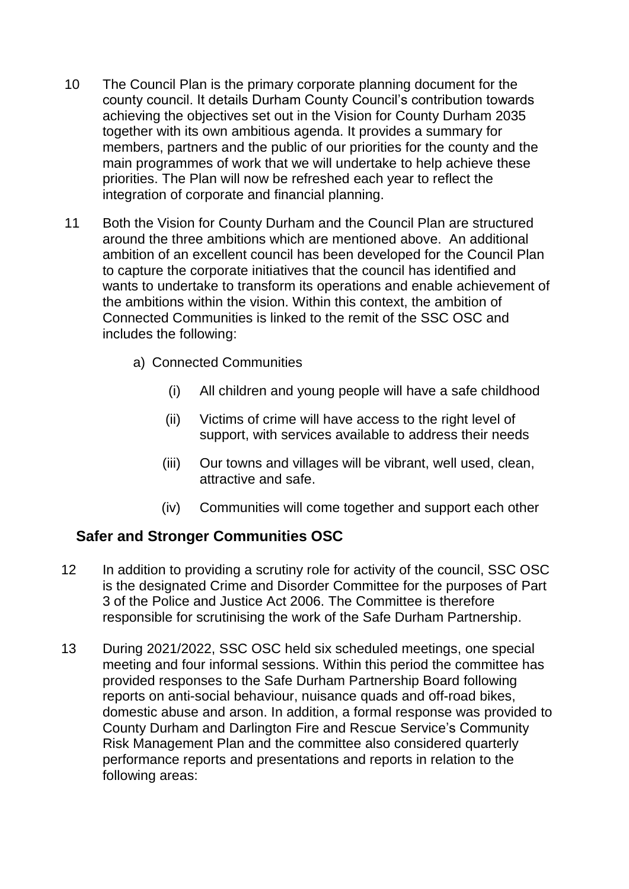- 10 The Council Plan is the primary corporate planning document for the county council. It details Durham County Council's contribution towards achieving the objectives set out in the Vision for County Durham 2035 together with its own ambitious agenda. It provides a summary for members, partners and the public of our priorities for the county and the main programmes of work that we will undertake to help achieve these priorities. The Plan will now be refreshed each year to reflect the integration of corporate and financial planning.
- 11 Both the Vision for County Durham and the Council Plan are structured around the three ambitions which are mentioned above. An additional ambition of an excellent council has been developed for the Council Plan to capture the corporate initiatives that the council has identified and wants to undertake to transform its operations and enable achievement of the ambitions within the vision. Within this context, the ambition of Connected Communities is linked to the remit of the SSC OSC and includes the following:
	- a) Connected Communities
		- (i) All children and young people will have a safe childhood
		- (ii) Victims of crime will have access to the right level of support, with services available to address their needs
		- (iii) Our towns and villages will be vibrant, well used, clean, attractive and safe.
		- (iv) Communities will come together and support each other

## **Safer and Stronger Communities OSC**

- 12 In addition to providing a scrutiny role for activity of the council, SSC OSC is the designated Crime and Disorder Committee for the purposes of Part 3 of the Police and Justice Act 2006. The Committee is therefore responsible for scrutinising the work of the Safe Durham Partnership.
- 13 During 2021/2022, SSC OSC held six scheduled meetings, one special meeting and four informal sessions. Within this period the committee has provided responses to the Safe Durham Partnership Board following reports on anti-social behaviour, nuisance quads and off-road bikes, domestic abuse and arson. In addition, a formal response was provided to County Durham and Darlington Fire and Rescue Service's Community Risk Management Plan and the committee also considered quarterly performance reports and presentations and reports in relation to the following areas: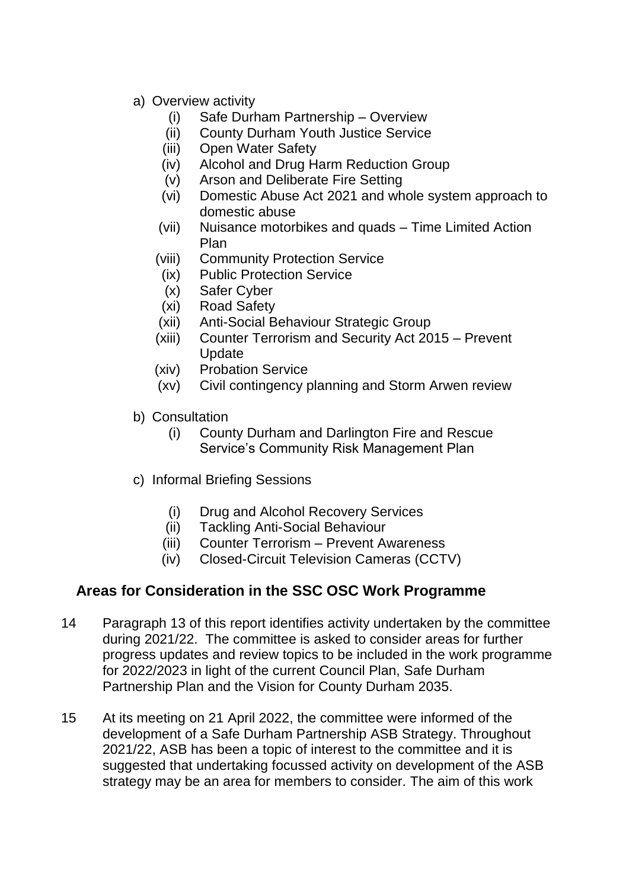- a) Overview activity
	- (i) Safe Durham Partnership Overview
	- (ii) County Durham Youth Justice Service
	- (iii) Open Water Safety
	- (iv) Alcohol and Drug Harm Reduction Group
	- (v) Arson and Deliberate Fire Setting
	- (vi) Domestic Abuse Act 2021 and whole system approach to domestic abuse
	- (vii) Nuisance motorbikes and quads Time Limited Action Plan
	- (viii) Community Protection Service
	- (ix) Public Protection Service
	- (x) Safer Cyber
	- (xi) Road Safety
	- (xii) Anti-Social Behaviour Strategic Group
	- (xiii) Counter Terrorism and Security Act 2015 Prevent Update
	- (xiv) Probation Service
	- (xv) Civil contingency planning and Storm Arwen review
- b) Consultation
	- (i) County Durham and Darlington Fire and Rescue Service's Community Risk Management Plan
- c) Informal Briefing Sessions
	- (i) Drug and Alcohol Recovery Services
	- (ii) Tackling Anti-Social Behaviour
	- (iii) Counter Terrorism Prevent Awareness
	- (iv) Closed-Circuit Television Cameras (CCTV)

## **Areas for Consideration in the SSC OSC Work Programme**

- 14 Paragraph 13 of this report identifies activity undertaken by the committee during 2021/22. The committee is asked to consider areas for further progress updates and review topics to be included in the work programme for 2022/2023 in light of the current Council Plan, Safe Durham Partnership Plan and the Vision for County Durham 2035.
- 15 At its meeting on 21 April 2022, the committee were informed of the development of a Safe Durham Partnership ASB Strategy. Throughout 2021/22, ASB has been a topic of interest to the committee and it is suggested that undertaking focussed activity on development of the ASB strategy may be an area for members to consider. The aim of this work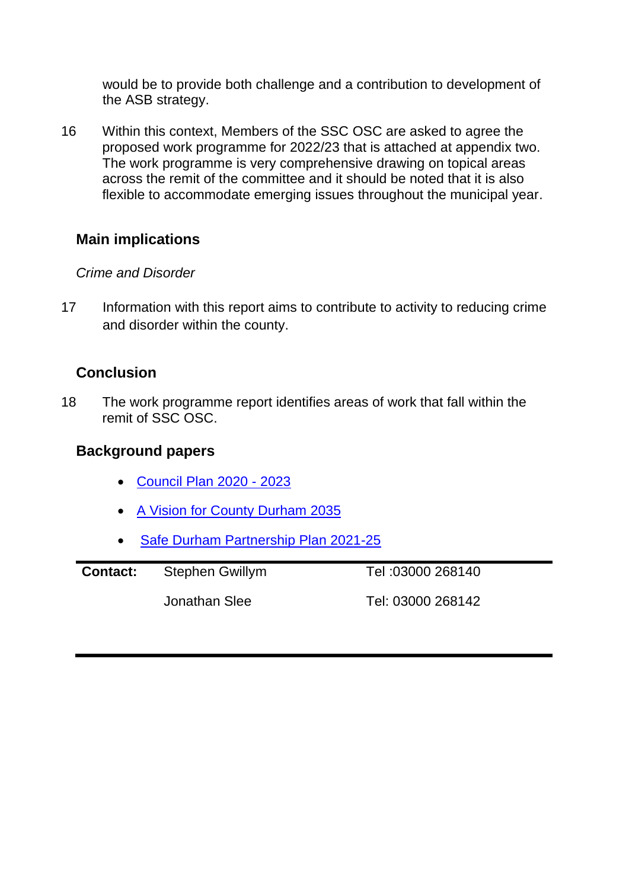would be to provide both challenge and a contribution to development of the ASB strategy.

16 Within this context, Members of the SSC OSC are asked to agree the proposed work programme for 2022/23 that is attached at appendix two. The work programme is very comprehensive drawing on topical areas across the remit of the committee and it should be noted that it is also flexible to accommodate emerging issues throughout the municipal year.

## **Main implications**

#### *Crime and Disorder*

17 Information with this report aims to contribute to activity to reducing crime and disorder within the county.

## **Conclusion**

18 The work programme report identifies areas of work that fall within the remit of SSC OSC.

#### **Background papers**

- [Council Plan 2020 -](http://www.durham.gov.uk/media/34954/Durham-County-Council-Plan-2020-23/pdf/DurhamCountyCouncilPlan2020To23.pdf?m=637497561229730000) 2023
- [A Vision for County Durham 2035](A%20Vision%20for%20County%20Durham%202035)
- [Safe Durham Partnership Plan 2021-25](Safe%20Durham%20Partnership%20Plan%202021-25)

| <b>Contact:</b> | <b>Stephen Gwillym</b> | Tel: 03000 268140 |
|-----------------|------------------------|-------------------|
|                 | Jonathan Slee          | Tel: 03000 268142 |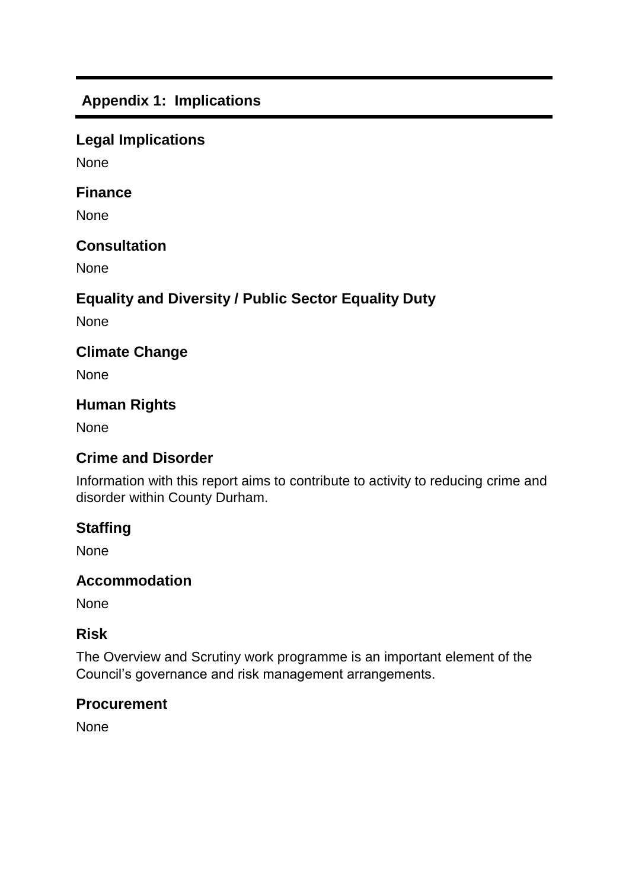# **Appendix 1: Implications**

## **Legal Implications**

None

#### **Finance**

None

## **Consultation**

None

# **Equality and Diversity / Public Sector Equality Duty**

None

## **Climate Change**

None

## **Human Rights**

None

## **Crime and Disorder**

Information with this report aims to contribute to activity to reducing crime and disorder within County Durham.

## **Staffing**

None

## **Accommodation**

None

#### **Risk**

The Overview and Scrutiny work programme is an important element of the Council's governance and risk management arrangements.

#### **Procurement**

None